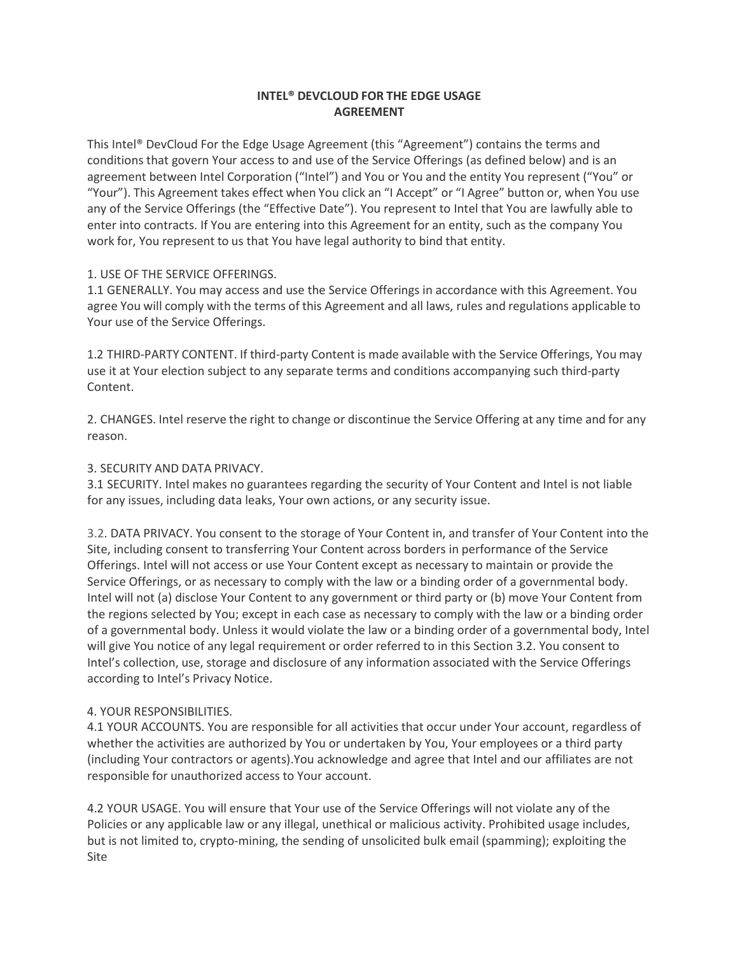# **INTEL® DEVCLOUD FOR THE EDGE USAGE AGREEMENT**

This Intel® DevCloud For the Edge Usage Agreement (this "Agreement") contains the terms and conditions that govern Your access to and use of the Service Offerings (as defined below) and is an agreement between Intel Corporation ("Intel") and You or You and the entity You represent ("You" or "Your"). This Agreement takes effect when You click an "I Accept" or "I Agree" button or, when You use any of the Service Offerings (the "Effective Date"). You represent to Intel that You are lawfully able to enter into contracts. If You are entering into this Agreement for an entity, such as the company You work for, You represent to us that You have legal authority to bind that entity.

## 1. USE OF THE SERVICE OFFERINGS.

1.1 GENERALLY. You may access and use the Service Offerings in accordance with this Agreement. You agree You will comply with the terms of this Agreement and all laws, rules and regulations applicable to Your use of the Service Offerings.

1.2 THIRD-PARTY CONTENT. If third-party Content is made available with the Service Offerings, You may use it at Your election subject to any separate terms and conditions accompanying such third-party Content.

2. CHANGES. Intel reserve the right to change or discontinue the Service Offering at any time and for any reason.

### 3. SECURITY AND DATA PRIVACY.

3.1 SECURITY. Intel makes no guarantees regarding the security of Your Content and Intel is not liable for any issues, including data leaks, Your own actions, or any security issue.

3.2. DATA PRIVACY. You consent to the storage of Your Content in, and transfer of Your Content into the Site, including consent to transferring Your Content across borders in performance of the Service Offerings. Intel will not access or use Your Content except as necessary to maintain or provide the Service Offerings, or as necessary to comply with the law or a binding order of a governmental body. Intel will not (a) disclose Your Content to any government or third party or (b) move Your Content from the regions selected by You; except in each case as necessary to comply with the law or a binding order of a governmental body. Unless it would violate the law or a binding order of a governmental body, Intel will give You notice of any legal requirement or order referred to in this Section 3.2. You consent to Intel's collection, use, storage and disclosure of any information associated with the Service Offerings according to Intel's Privacy Notice.

### 4. YOUR RESPONSIBILITIES.

4.1 YOUR ACCOUNTS. You are responsible for all activities that occur under Your account, regardless of whether the activities are authorized by You or undertaken by You, Your employees or a third party (including Your contractors or agents).You acknowledge and agree that Intel and our affiliates are not responsible for unauthorized access to Your account.

4.2 YOUR USAGE. You will ensure that Your use of the Service Offerings will not violate any of the Policies or any applicable law or any illegal, unethical or malicious activity. Prohibited usage includes, but is not limited to, crypto-mining, the sending of unsolicited bulk email (spamming); exploiting the Site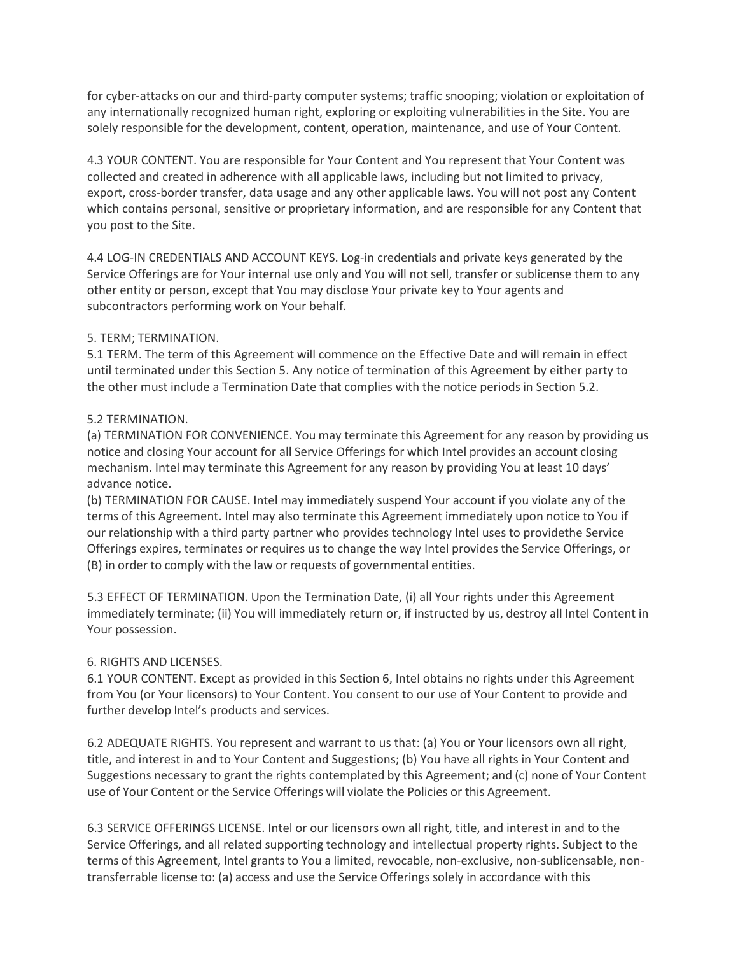for cyber-attacks on our and third-party computer systems; traffic snooping; violation or exploitation of any internationally recognized human right, exploring or exploiting vulnerabilities in the Site. You are solely responsible for the development, content, operation, maintenance, and use of Your Content.

4.3 YOUR CONTENT. You are responsible for Your Content and You represent that Your Content was collected and created in adherence with all applicable laws, including but not limited to privacy, export, cross-border transfer, data usage and any other applicable laws. You will not post any Content which contains personal, sensitive or proprietary information, and are responsible for any Content that you post to the Site.

4.4 LOG-IN CREDENTIALS AND ACCOUNT KEYS. Log-in credentials and private keys generated by the Service Offerings are for Your internal use only and You will not sell, transfer or sublicense them to any other entity or person, except that You may disclose Your private key to Your agents and subcontractors performing work on Your behalf.

# 5. TERM; TERMINATION.

5.1 TERM. The term of this Agreement will commence on the Effective Date and will remain in effect until terminated under this Section 5. Any notice of termination of this Agreement by either party to the other must include a Termination Date that complies with the notice periods in Section 5.2.

## 5.2 TERMINATION.

(a) TERMINATION FOR CONVENIENCE. You may terminate this Agreement for any reason by providing us notice and closing Your account for all Service Offerings for which Intel provides an account closing mechanism. Intel may terminate this Agreement for any reason by providing You at least 10 days' advance notice.

(b) TERMINATION FOR CAUSE. Intel may immediately suspend Your account if you violate any of the terms of this Agreement. Intel may also terminate this Agreement immediately upon notice to You if our relationship with a third party partner who provides technology Intel uses to providethe Service Offerings expires, terminates or requires us to change the way Intel provides the Service Offerings, or (B) in order to comply with the law or requests of governmental entities.

5.3 EFFECT OF TERMINATION. Upon the Termination Date, (i) all Your rights under this Agreement immediately terminate; (ii) You will immediately return or, if instructed by us, destroy all Intel Content in Your possession.

## 6. RIGHTS AND LICENSES.

6.1 YOUR CONTENT. Except as provided in this Section 6, Intel obtains no rights under this Agreement from You (or Your licensors) to Your Content. You consent to our use of Your Content to provide and further develop Intel's products and services.

6.2 ADEQUATE RIGHTS. You represent and warrant to us that: (a) You or Your licensors own all right, title, and interest in and to Your Content and Suggestions; (b) You have all rights in Your Content and Suggestions necessary to grant the rights contemplated by this Agreement; and (c) none of Your Content use of Your Content or the Service Offerings will violate the Policies or this Agreement.

6.3 SERVICE OFFERINGS LICENSE. Intel or our licensors own all right, title, and interest in and to the Service Offerings, and all related supporting technology and intellectual property rights. Subject to the terms of this Agreement, Intel grants to You a limited, revocable, non-exclusive, non-sublicensable, nontransferrable license to: (a) access and use the Service Offerings solely in accordance with this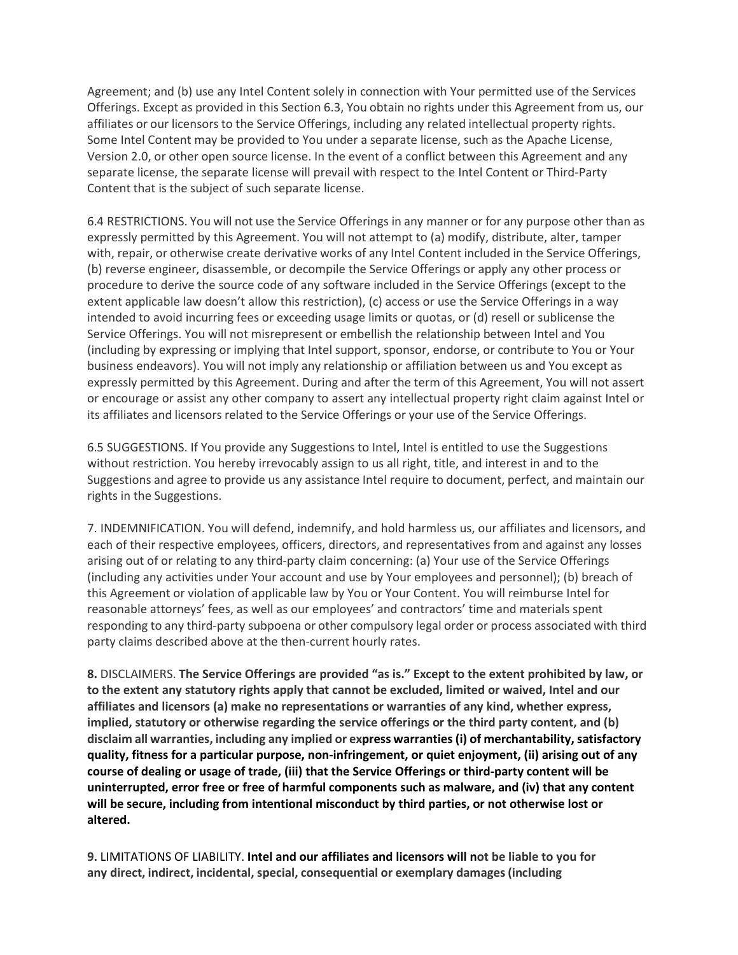Agreement; and (b) use any Intel Content solely in connection with Your permitted use of the Services Offerings. Except as provided in this Section 6.3, You obtain no rights under this Agreement from us, our affiliates or our licensors to the Service Offerings, including any related intellectual property rights. Some Intel Content may be provided to You under a separate license, such as the Apache License, Version 2.0, or other open source license. In the event of a conflict between this Agreement and any separate license, the separate license will prevail with respect to the Intel Content or Third-Party Content that is the subject of such separate license.

6.4 RESTRICTIONS. You will not use the Service Offerings in any manner or for any purpose other than as expressly permitted by this Agreement. You will not attempt to (a) modify, distribute, alter, tamper with, repair, or otherwise create derivative works of any Intel Content included in the Service Offerings, (b) reverse engineer, disassemble, or decompile the Service Offerings or apply any other process or procedure to derive the source code of any software included in the Service Offerings (except to the extent applicable law doesn't allow this restriction), (c) access or use the Service Offerings in a way intended to avoid incurring fees or exceeding usage limits or quotas, or (d) resell or sublicense the Service Offerings. You will not misrepresent or embellish the relationship between Intel and You (including by expressing or implying that Intel support, sponsor, endorse, or contribute to You or Your business endeavors). You will not imply any relationship or affiliation between us and You except as expressly permitted by this Agreement. During and after the term of this Agreement, You will not assert or encourage or assist any other company to assert any intellectual property right claim against Intel or its affiliates and licensors related to the Service Offerings or your use of the Service Offerings.

6.5 SUGGESTIONS. If You provide any Suggestions to Intel, Intel is entitled to use the Suggestions without restriction. You hereby irrevocably assign to us all right, title, and interest in and to the Suggestions and agree to provide us any assistance Intel require to document, perfect, and maintain our rights in the Suggestions.

7. INDEMNIFICATION. You will defend, indemnify, and hold harmless us, our affiliates and licensors, and each of their respective employees, officers, directors, and representatives from and against any losses arising out of or relating to any third-party claim concerning: (a) Your use of the Service Offerings (including any activities under Your account and use by Your employees and personnel); (b) breach of this Agreement or violation of applicable law by You or Your Content. You will reimburse Intel for reasonable attorneys' fees, as well as our employees' and contractors' time and materials spent responding to any third-party subpoena or other compulsory legal order or process associated with third party claims described above at the then-current hourly rates.

**8.** DISCLAIMERS. **The Service Offerings are provided "as is." Except to the extent prohibited by law, or to the extent any statutory rights apply that cannot be excluded, limited or waived, Intel and our affiliates and licensors (a) make no representations or warranties of any kind, whether express, implied, statutory or otherwise regarding the service offerings or the third party content, and (b) disclaim all warranties, including any implied or express warranties(i) of merchantability,satisfactory quality, fitness for a particular purpose, non-infringement, or quiet enjoyment, (ii) arising out of any course of dealing or usage of trade, (iii) that the Service Offerings or third-party content will be uninterrupted, error free or free of harmful components such as malware, and (iv) that any content will be secure, including from intentional misconduct by third parties, or not otherwise lost or altered.**

**9.** LIMITATIONS OF LIABILITY. **Intel and our affiliates and licensors will not be liable to you for any direct, indirect, incidental, special, consequential or exemplary damages(including**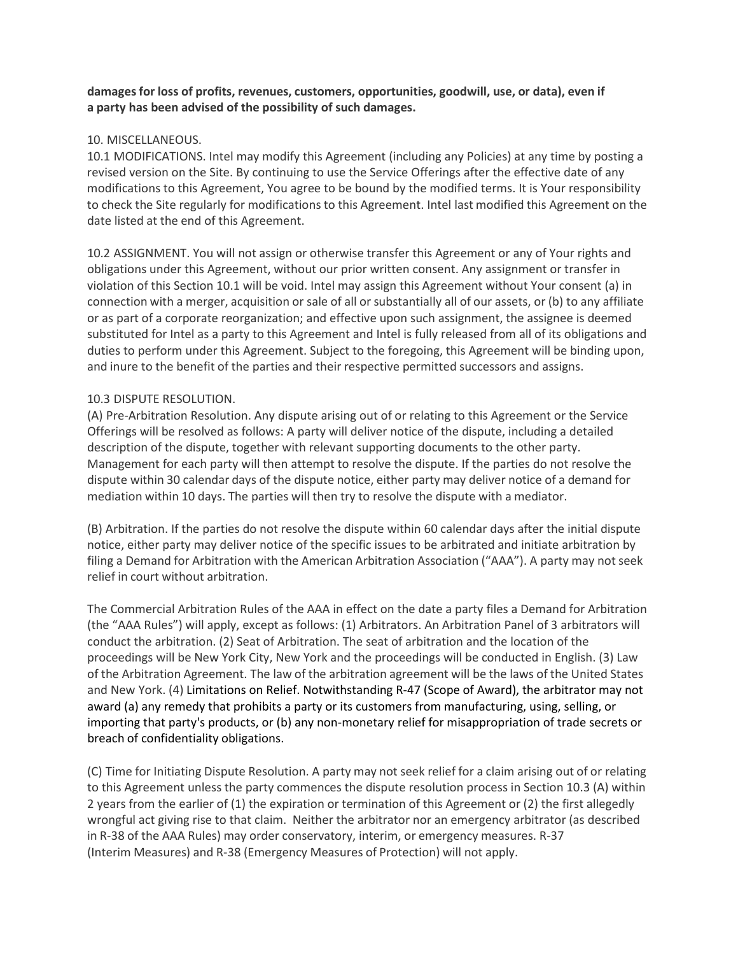# **damagesfor loss of profits, revenues, customers, opportunities, goodwill, use, or data), even if a party has been advised of the possibility of such damages.**

## 10. MISCELLANEOUS.

10.1 MODIFICATIONS. Intel may modify this Agreement (including any Policies) at any time by posting a revised version on the Site. By continuing to use the Service Offerings after the effective date of any modifications to this Agreement, You agree to be bound by the modified terms. It is Your responsibility to check the Site regularly for modifications to this Agreement. Intel last modified this Agreement on the date listed at the end of this Agreement.

10.2 ASSIGNMENT. You will not assign or otherwise transfer this Agreement or any of Your rights and obligations under this Agreement, without our prior written consent. Any assignment or transfer in violation of this Section 10.1 will be void. Intel may assign this Agreement without Your consent (a) in connection with a merger, acquisition or sale of all orsubstantially all of our assets, or (b) to any affiliate or as part of a corporate reorganization; and effective upon such assignment, the assignee is deemed substituted for Intel as a party to this Agreement and Intel is fully released from all of its obligations and duties to perform under this Agreement. Subject to the foregoing, this Agreement will be binding upon, and inure to the benefit of the parties and their respective permitted successors and assigns.

### 10.3 DISPUTE RESOLUTION.

(A) Pre-Arbitration Resolution. Any dispute arising out of or relating to this Agreement or the Service Offerings will be resolved as follows: A party will deliver notice of the dispute, including a detailed description of the dispute, together with relevant supporting documents to the other party. Management for each party will then attempt to resolve the dispute. If the parties do not resolve the dispute within 30 calendar days of the dispute notice, either party may deliver notice of a demand for mediation within 10 days. The parties will then try to resolve the dispute with a mediator.

(B) Arbitration. If the parties do not resolve the dispute within 60 calendar days after the initial dispute notice, either party may deliver notice of the specific issues to be arbitrated and initiate arbitration by filing a Demand for Arbitration with the American Arbitration Association ("AAA"). A party may not seek relief in court without arbitration.

The Commercial Arbitration Rules of the AAA in effect on the date a party files a Demand for Arbitration (the "AAA Rules") will apply, except as follows: (1) Arbitrators. An Arbitration Panel of 3 arbitrators will conduct the arbitration. (2) Seat of Arbitration. The seat of arbitration and the location of the proceedings will be New York City, New York and the proceedings will be conducted in English. (3) Law of the Arbitration Agreement. The law of the arbitration agreement will be the laws of the United States and New York. (4) Limitations on Relief. Notwithstanding R-47 (Scope of Award), the arbitrator may not award (a) any remedy that prohibits a party or its customers from manufacturing, using, selling, or importing that party's products, or (b) any non-monetary relief for misappropriation of trade secrets or breach of confidentiality obligations.

(C) Time for Initiating Dispute Resolution. A party may not seek relief for a claim arising out of or relating to this Agreement unless the party commences the dispute resolution process in Section 10.3 (A) within 2 years from the earlier of (1) the expiration or termination of this Agreement or (2) the first allegedly wrongful act giving rise to that claim. Neither the arbitrator nor an emergency arbitrator (as described in R-38 of the AAA Rules) may order conservatory, interim, or emergency measures. R-37 (Interim Measures) and R-38 (Emergency Measures of Protection) will not apply.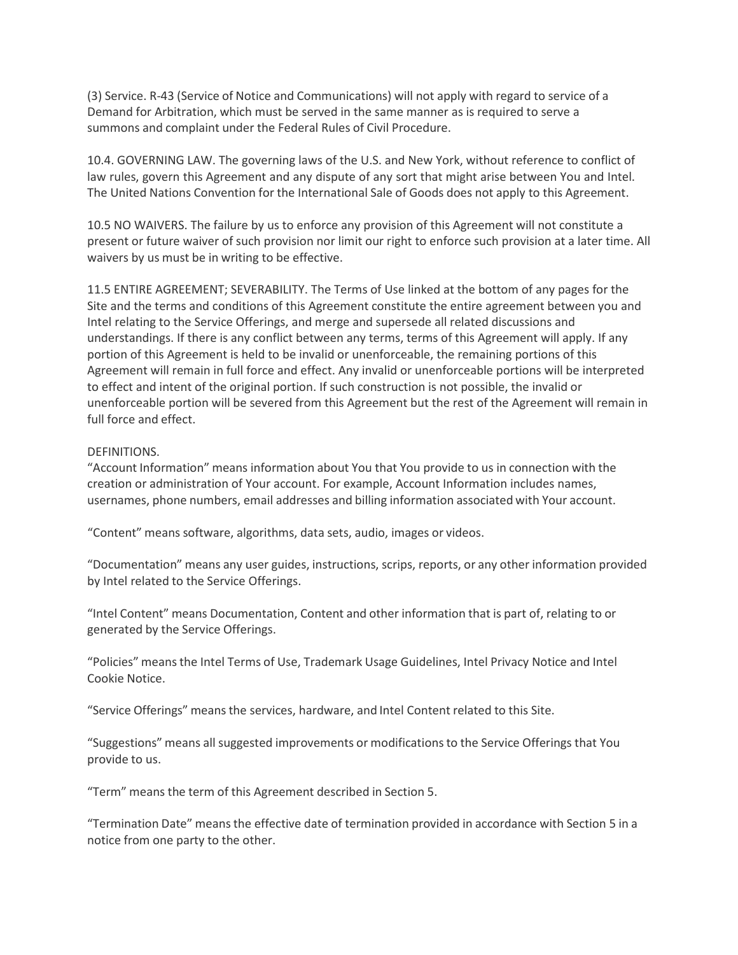(3) Service. R-43 (Service of Notice and Communications) will not apply with regard to service of a Demand for Arbitration, which must be served in the same manner as is required to serve a summons and complaint under the Federal Rules of Civil Procedure.

10.4. GOVERNING LAW. The governing laws of the U.S. and New York, without reference to conflict of law rules, govern this Agreement and any dispute of any sort that might arise between You and Intel. The United Nations Convention for the International Sale of Goods does not apply to this Agreement.

10.5 NO WAIVERS. The failure by us to enforce any provision of this Agreement will not constitute a present or future waiver of such provision nor limit our right to enforce such provision at a later time. All waivers by us must be in writing to be effective.

11.5 ENTIRE AGREEMENT; SEVERABILITY. The Terms of Use linked at the bottom of any pages for the Site and the terms and conditions of this Agreement constitute the entire agreement between you and Intel relating to the Service Offerings, and merge and supersede all related discussions and understandings. If there is any conflict between any terms, terms of this Agreement will apply. If any portion of this Agreement is held to be invalid or unenforceable, the remaining portions of this Agreement will remain in full force and effect. Any invalid or unenforceable portions will be interpreted to effect and intent of the original portion. If such construction is not possible, the invalid or unenforceable portion will be severed from this Agreement but the rest of the Agreement will remain in full force and effect.

### DEFINITIONS.

"Account Information" means information about You that You provide to us in connection with the creation or administration of Your account. For example, Account Information includes names, usernames, phone numbers, email addresses and billing information associated with Your account.

"Content" means software, algorithms, data sets, audio, images or videos.

"Documentation" means any user guides, instructions, scrips, reports, or any other information provided by Intel related to the Service Offerings.

"Intel Content" means Documentation, Content and other information that is part of, relating to or generated by the Service Offerings.

"Policies" meansthe Intel Terms of Use, Trademark Usage Guidelines, Intel Privacy Notice and Intel Cookie Notice.

"Service Offerings" means the services, hardware, and Intel Content related to this Site.

"Suggestions" means all suggested improvements or modificationsto the Service Offerings that You provide to us.

"Term" means the term of this Agreement described in Section 5.

"Termination Date" meansthe effective date of termination provided in accordance with Section 5 in a notice from one party to the other.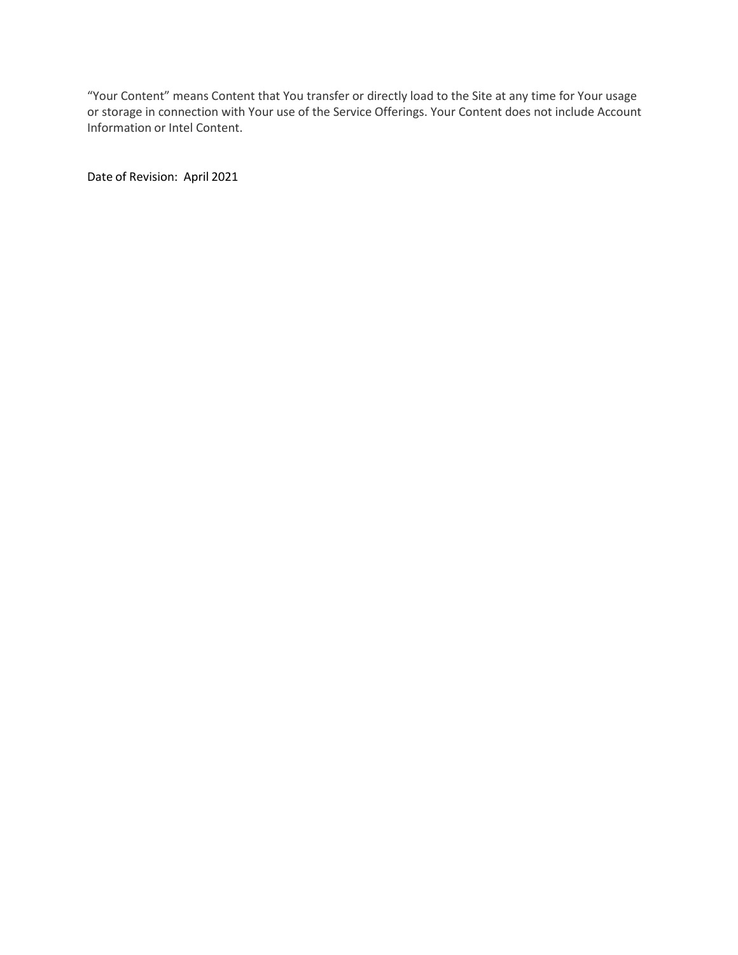"Your Content" means Content that You transfer or directly load to the Site at any time for Your usage or storage in connection with Your use of the Service Offerings. Your Content does not include Account Information or Intel Content.

Date of Revision: April 2021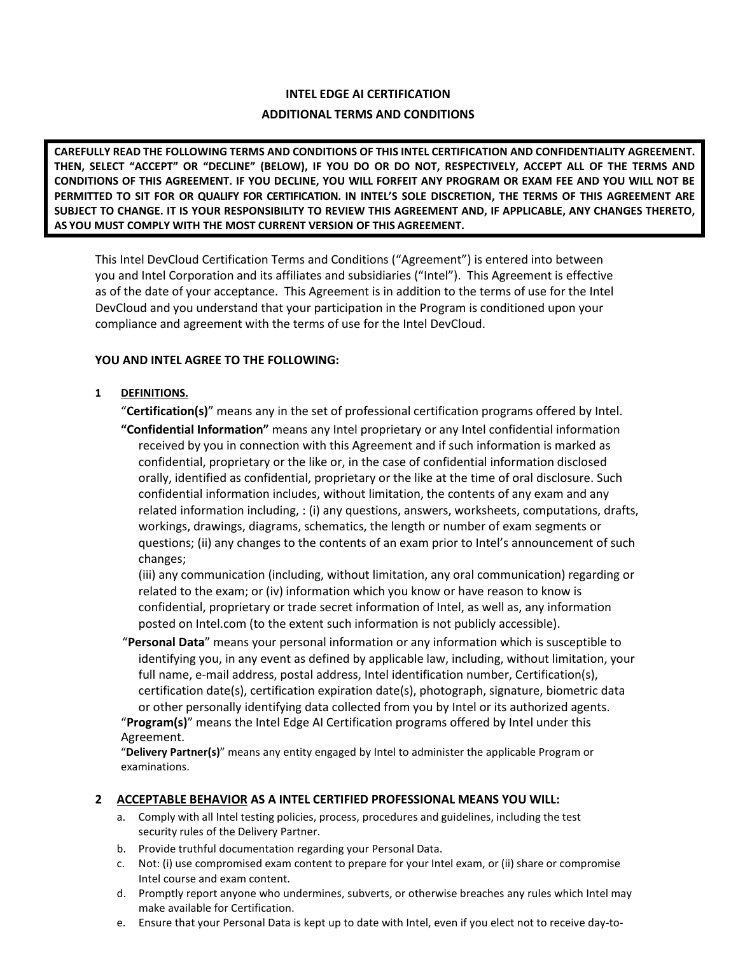# **INTEL EDGE AI CERTIFICATION ADDITIONAL TERMS AND CONDITIONS**

**CAREFULLY READ THE FOLLOWING TERMS AND CONDITIONS OF THIS INTEL CERTIFICATION AND CONFIDENTIALITY AGREEMENT. THEN, SELECT "ACCEPT" OR "DECLINE" (BELOW), IF YOU DO OR DO NOT, RESPECTIVELY, ACCEPT ALL OF THE TERMS AND CONDITIONS OF THIS AGREEMENT. IF YOU DECLINE, YOU WILL FORFEIT ANY PROGRAM OR EXAM FEE AND YOU WILL NOT BE PERMITTED TO SIT FOR OR QUALIFY FOR CERTIFICATION. IN INTEL'S SOLE DISCRETION, THE TERMS OF THIS AGREEMENT ARE SUBJECT TO CHANGE. IT IS YOUR RESPONSIBILITY TO REVIEW THIS AGREEMENT AND, IF APPLICABLE, ANY CHANGES THERETO, AS YOU MUST COMPLY WITH THE MOST CURRENT VERSION OF THIS AGREEMENT.**

This Intel DevCloud Certification Terms and Conditions ("Agreement") is entered into between you and Intel Corporation and its affiliates and subsidiaries ("Intel"). This Agreement is effective as of the date of your acceptance. This Agreement is in addition to the terms of use for the Intel DevCloud and you understand that your participation in the Program is conditioned upon your compliance and agreement with the terms of use for the Intel DevCloud.

## **YOU AND INTEL AGREE TO THE FOLLOWING:**

# **1 DEFINITIONS.**

"**Certification(s)**" means any in the set of professional certification programs offered by Intel.

**"Confidential Information"** means any Intel proprietary or any Intel confidential information received by you in connection with this Agreement and if such information is marked as confidential, proprietary or the like or, in the case of confidential information disclosed orally, identified as confidential, proprietary or the like at the time of oral disclosure. Such confidential information includes, without limitation, the contents of any exam and any related information including, : (i) any questions, answers, worksheets, computations, drafts, workings, drawings, diagrams, schematics, the length or number of exam segments or questions; (ii) any changes to the contents of an exam prior to Intel's announcement of such changes;

(iii) any communication (including, without limitation, any oral communication) regarding or related to the exam; or (iv) information which you know or have reason to know is confidential, proprietary or trade secret information of Intel, as well as, any information posted on Intel.com (to the extent such information is not publicly accessible).

"**Personal Data**" means your personal information or any information which is susceptible to identifying you, in any event as defined by applicable law, including, without limitation, your full name, e-mail address, postal address, Intel identification number, Certification(s), certification date(s), certification expiration date(s), photograph, signature, biometric data or other personally identifying data collected from you by Intel or its authorized agents. "**Program(s)**" means the Intel Edge AI Certification programs offered by Intel under this

Agreement.

"**Delivery Partner(s)**" means any entity engaged by Intel to administer the applicable Program or examinations.

## **2 ACCEPTABLE BEHAVIOR AS A INTEL CERTIFIED PROFESSIONAL MEANS YOU WILL:**

- a. Comply with all Intel testing policies, process, procedures and guidelines, including the test security rules of the Delivery Partner.
- b. Provide truthful documentation regarding your Personal Data.
- c. Not: (i) use compromised exam content to prepare for your Intel exam, or (ii) share or compromise Intel course and exam content.
- d. Promptly report anyone who undermines, subverts, or otherwise breaches any rules which Intel may make available for Certification.
- e. Ensure that your Personal Data is kept up to date with Intel, even if you elect not to receive day-to-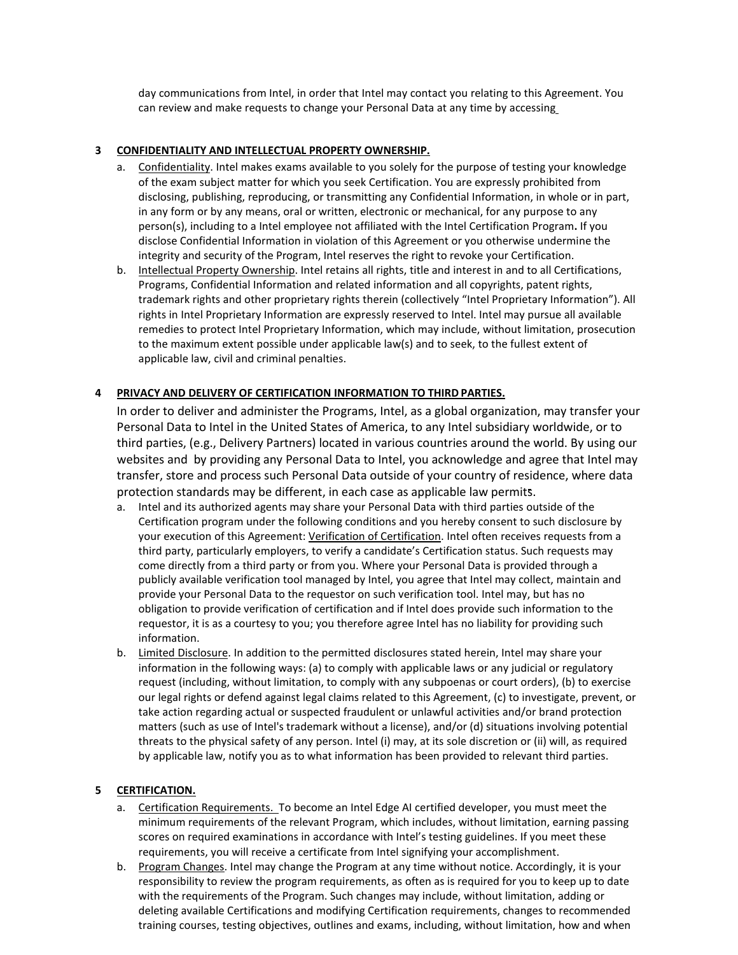day communications from Intel, in order that Intel may contact you relating to this Agreement. You can review and make requests to change your Personal Data at any time by accessing

### **3 CONFIDENTIALITY AND INTELLECTUAL PROPERTY OWNERSHIP.**

- a. Confidentiality. Intel makes exams available to you solely for the purpose of testing your knowledge of the exam subject matter for which you seek Certification. You are expressly prohibited from disclosing, publishing, reproducing, or transmitting any Confidential Information, in whole or in part, in any form or by any means, oral or written, electronic or mechanical, for any purpose to any person(s), including to a Intel employee not affiliated with the Intel Certification Program**.** If you disclose Confidential Information in violation of this Agreement or you otherwise undermine the integrity and security of the Program, Intel reserves the right to revoke your Certification.
- b. Intellectual Property Ownership. Intel retains all rights, title and interest in and to all Certifications, Programs, Confidential Information and related information and all copyrights, patent rights, trademark rights and other proprietary rights therein (collectively "Intel Proprietary Information"). All rights in Intel Proprietary Information are expressly reserved to Intel. Intel may pursue all available remedies to protect Intel Proprietary Information, which may include, without limitation, prosecution to the maximum extent possible under applicable law(s) and to seek, to the fullest extent of applicable law, civil and criminal penalties.

## **4 PRIVACY AND DELIVERY OF CERTIFICATION INFORMATION TO THIRD PARTIES.**

In order to deliver and administer the Programs, Intel, as a global organization, may transfer your Personal Data to Intel in the United States of America, to any Intel subsidiary worldwide, or to third parties, (e.g., Delivery Partners) located in various countries around the world. By using our websites and by providing any Personal Data to Intel, you acknowledge and agree that Intel may transfer, store and process such Personal Data outside of your country of residence, where data protection standards may be different, in each case as applicable law permits.

- a. Intel and its authorized agents may share your Personal Data with third parties outside of the Certification program under the following conditions and you hereby consent to such disclosure by your execution of this Agreement: Verification of Certification. Intel often receives requests from a third party, particularly employers, to verify a candidate's Certification status. Such requests may come directly from a third party or from you. Where your Personal Data is provided through a publicly available verification tool managed by Intel, you agree that Intel may collect, maintain and provide your Personal Data to the requestor on such verification tool. Intel may, but has no obligation to provide verification of certification and if Intel does provide such information to the requestor, it is as a courtesy to you; you therefore agree Intel has no liability for providing such information.
- b. Limited Disclosure. In addition to the permitted disclosures stated herein, Intel may share your information in the following ways: (a) to comply with applicable laws or any judicial or regulatory request (including, without limitation, to comply with any subpoenas or court orders), (b) to exercise our legal rights or defend against legal claims related to this Agreement, (c) to investigate, prevent, or take action regarding actual or suspected fraudulent or unlawful activities and/or brand protection matters (such as use of Intel's trademark without a license), and/or (d) situations involving potential threats to the physical safety of any person. Intel (i) may, at its sole discretion or (ii) will, as required by applicable law, notify you as to what information has been provided to relevant third parties.

### **5 CERTIFICATION.**

- a. Certification Requirements. To become an Intel Edge AI certified developer, you must meet the minimum requirements of the relevant Program, which includes, without limitation, earning passing scores on required examinations in accordance with Intel's testing guidelines. If you meet these requirements, you will receive a certificate from Intel signifying your accomplishment.
- b. Program Changes. Intel may change the Program at any time without notice. Accordingly, it is your responsibility to review the program requirements, as often as is required for you to keep up to date with the requirements of the Program. Such changes may include, without limitation, adding or deleting available Certifications and modifying Certification requirements, changes to recommended training courses, testing objectives, outlines and exams, including, without limitation, how and when